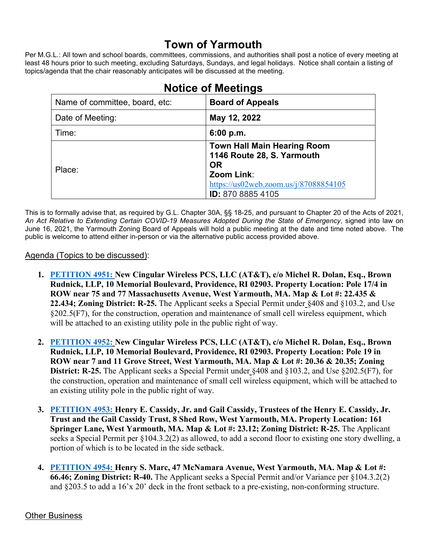## **Town of Yarmouth**

Per M.G.L.: All town and school boards, committees, commissions, and authorities shall post a notice of every meeting at least 48 hours prior to such meeting, excluding Saturdays, Sundays, and legal holidays. Notice shall contain a listing of topics/agenda that the chair reasonably anticipates will be discussed at the meeting.

| Name of committee, board, etc: | <b>Board of Appeals</b>                                                                                                                                          |
|--------------------------------|------------------------------------------------------------------------------------------------------------------------------------------------------------------|
| Date of Meeting:               | May 12, 2022                                                                                                                                                     |
| Time:                          | 6:00 p.m.                                                                                                                                                        |
| Place:                         | <b>Town Hall Main Hearing Room</b><br>1146 Route 28, S. Yarmouth<br><b>OR</b><br>Zoom Link:<br>https://us02web.zoom.us/j/87088854105<br><b>ID:</b> 870 8885 4105 |

# **Notice of Meetings**

This is to formally advise that, as required by G.L. Chapter 30A, §§ 18-25, and pursuant to Chapter 20 of the Acts of 2021, *An Act Relative to Extending Certain COVID-19 Measures Adopted During the State of Emergency*, signed into law on June 16, 2021, the Yarmouth Zoning Board of Appeals will hold a public meeting at the date and time noted above. The public is welcome to attend either in-person or via the alternative public access provided above.

#### Agenda (Topics to be discussed):

- **1. [PETITION 4951:](https://lf.yarmouth.ma.us/WebLink/Browse.aspx?id=699582&dbid=0&repo=LASERFICHE) New Cingular Wireless PCS, LLC (AT&T), c/o Michel R. Dolan, Esq., Brown Rudnick, LLP, 10 Memorial Boulevard, Providence, RI 02903. Property Location: Pole 17/4 in ROW near 75 and 77 Massachusetts Avenue, West Yarmouth, MA. Map & Lot #: 22.435 & 22.434; Zoning District: R-25.** The Applicant seeks a Special Permit under §408 and §103.2, and Use §202.5(F7), for the construction, operation and maintenance of small cell wireless equipment, which will be attached to an existing utility pole in the public right of way.
- **2. [PETITION 4952:](https://lf.yarmouth.ma.us/WebLink/Browse.aspx?id=807564&dbid=0&repo=LASERFICHE) New Cingular Wireless PCS, LLC (AT&T), c/o Michel R. Dolan, Esq., Brown Rudnick, LLP, 10 Memorial Boulevard, Providence, RI 02903. Property Location: Pole 19 in ROW near 7 and 11 Grove Street, West Yarmouth, MA. Map & Lot #: 20.36 & 20.35; Zoning District: R-25.** The Applicant seeks a Special Permit under §408 and §103.2, and Use §202.5(F7), for the construction, operation and maintenance of small cell wireless equipment, which will be attached to an existing utility pole in the public right of way.
- **3. [PETITION 4953:](https://lf.yarmouth.ma.us/WebLink/Browse.aspx?id=620582&dbid=0&repo=LASERFICHE) Henry E. Cassidy, Jr. and Gail Cassidy, Trustees of the Henry E. Cassidy, Jr. Trust and the Gail Cassidy Trust, 8 Shed Row, West Yarmouth, MA. Property Location: 161 Springer Lane, West Yarmouth, MA. Map & Lot #: 23.12; Zoning District: R-25.** The Applicant seeks a Special Permit per §104.3.2(2) as allowed, to add a second floor to existing one story dwelling, a portion of which is to be located in the side setback.
- **4. [PETITION 4954:](https://lf.yarmouth.ma.us/WebLink/Browse.aspx?id=704029&dbid=0&repo=LASERFICHE) Henry S. Marc, 47 McNamara Avenue, West Yarmouth, MA. Map & Lot #: 66.46; Zoning District: R-40.** The Applicant seeks a Special Permit and/or Variance per §104.3.2(2) and §203.5 to add a 16'x 20' deck in the front setback to a pre-existing, non-conforming structure.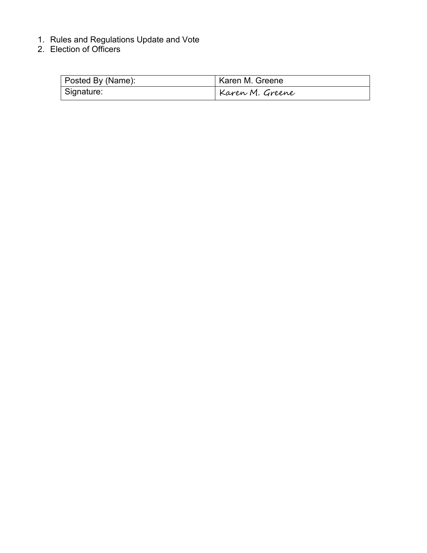- 1. Rules and Regulations Update and Vote
- 2. Election of Officers

| Posted By (Name): | Karen M. Greene |
|-------------------|-----------------|
| Signature:        | Karen M. Greene |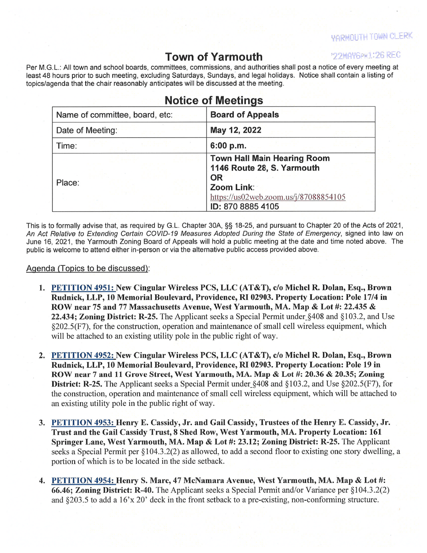**VARMOUTH TOWN CLERK** 

## **Town of Yarmouth**

'22MAY6PN1:26 REC

Per M.G.L.: All town and school boards, committees, commissions, and authorities shall post a notice of every meeting at least 48 hours prior to such meeting, excluding Saturdays, Sundays, and legal holidays. Notice shall contain a listing of topics/agenda that the chair reasonably anticipates will be discussed at the meeting.

| <b>Notice of Meetings</b>      |                                                                                                                                                           |
|--------------------------------|-----------------------------------------------------------------------------------------------------------------------------------------------------------|
| Name of committee, board, etc: | <b>Board of Appeals</b>                                                                                                                                   |
| Date of Meeting:               | May 12, 2022                                                                                                                                              |
| Time:                          | 6:00 p.m.                                                                                                                                                 |
| Place:                         | <b>Town Hall Main Hearing Room</b><br>1146 Route 28, S. Yarmouth<br><b>OR</b><br>Zoom Link:<br>https://us02web.zoom.us/j/87088854105<br>ID: 870 8885 4105 |

This is to formally advise that, as required by G.L. Chapter 30A, §§ 18-25, and pursuant to Chapter 20 of the Acts of 2021, An Act Relative to Extending Certain COVID-19 Measures Adopted During the State of Emergency, signed into law on June 16, 2021, the Yarmouth Zoning Board of Appeals will hold a public meeting at the date and time noted above. The public is welcome to attend either in-person or via the alternative public access provided above.

#### Agenda (Topics to be discussed):

- 1. PETITION 4951: New Cingular Wireless PCS, LLC (AT&T), c/o Michel R. Dolan, Esq., Brown Rudnick, LLP, 10 Memorial Boulevard, Providence, RI 02903. Property Location: Pole 17/4 in ROW near 75 and 77 Massachusetts Avenue, West Yarmouth, MA. Map & Lot #: 22.435 & 22.434; Zoning District: R-25. The Applicant seeks a Special Permit under §408 and §103.2, and Use §202.5(F7), for the construction, operation and maintenance of small cell wireless equipment, which will be attached to an existing utility pole in the public right of way.
- 2. PETITION 4952: New Cingular Wireless PCS, LLC (AT&T), c/o Michel R. Dolan, Esq., Brown Rudnick, LLP, 10 Memorial Boulevard, Providence, RI 02903. Property Location: Pole 19 in ROW near 7 and 11 Grove Street, West Yarmouth, MA. Map & Lot #: 20.36 & 20.35; Zoning **District: R-25.** The Applicant seeks a Special Permit under  $§408$  and  $§103.2$ , and Use  $§202.5(F7)$ , for the construction, operation and maintenance of small cell wireless equipment, which will be attached to an existing utility pole in the public right of way.
- 3. PETITION 4953: Henry E. Cassidy, Jr. and Gail Cassidy, Trustees of the Henry E. Cassidy, Jr. Trust and the Gail Cassidy Trust, 8 Shed Row, West Yarmouth, MA. Property Location: 161 Springer Lane, West Yarmouth, MA. Map & Lot #: 23.12; Zoning District: R-25. The Applicant seeks a Special Permit per §104.3.2(2) as allowed, to add a second floor to existing one story dwelling, a portion of which is to be located in the side setback.
- 4. PETITION 4954: Henry S. Marc, 47 McNamara Avenue, West Yarmouth, MA. Map & Lot #: 66.46; Zoning District: R-40. The Applicant seeks a Special Permit and/or Variance per §104.3.2(2) and  $\S203.5$  to add a  $16x20$  deck in the front setback to a pre-existing, non-conforming structure.